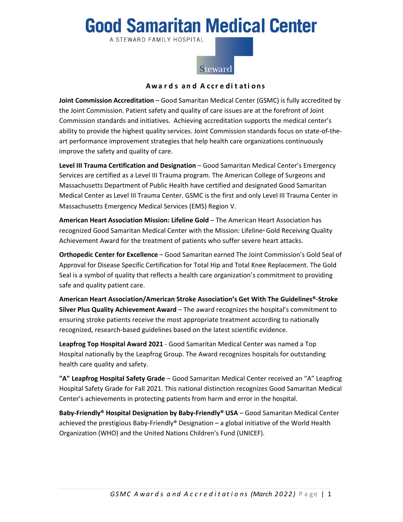## **Good Samaritan Medical Center**

A STEWARD FAMILY HOSPITAL



## **Awa r d s an d A ccr e d i t ati ons**

**Joint Commission Accreditation** – Good Samaritan Medical Center (GSMC) is fully accredited by the Joint Commission. Patient safety and quality of care issues are at the forefront of Joint Commission standards and initiatives. Achieving accreditation supports the medical center's ability to provide the highest quality services. Joint Commission standards focus on state-of-theart performance improvement strategies that help health care organizations continuously improve the safety and quality of care.

**Level III Trauma Certification and Designation** – Good Samaritan Medical Center's Emergency Services are certified as a Level III Trauma program. The American College of Surgeons and Massachusetts Department of Public Health have certified and designated Good Samaritan Medical Center as Level III Trauma Center. GSMC is the first and only Level III Trauma Center in Massachusetts Emergency Medical Services (EMS) Region V.

**American Heart Association Mission: Lifeline Gold** – The American Heart Association has recognized Good Samaritan Medical Center with the Mission: Lifeline® Gold Receiving Quality Achievement Award for the treatment of patients who suffer severe heart attacks.

**Orthopedic Center for Excellence** – Good Samaritan earned The Joint Commission's Gold Seal of Approval for Disease Specific Certification for Total Hip and Total Knee Replacement. The Gold Seal is a symbol of quality that reflects a health care organization's commitment to providing safe and quality patient care.

**American Heart Association/American Stroke Association's Get With The Guidelines®-Stroke Silver Plus Quality Achievement Award** – The award recognizes the hospital's commitment to ensuring stroke patients receive the most appropriate treatment according to nationally recognized, research-based guidelines based on the latest scientific evidence.

**Leapfrog Top Hospital Award 2021** - Good Samaritan Medical Center was named a Top Hospital nationally by the Leapfrog Group. The Award recognizes hospitals for outstanding health care quality and safety.

**"A" Leapfrog Hospital Safety Grade** – Good Samaritan Medical Center received an "A" Leapfrog Hospital Safety Grade for Fall 2021. This national distinction recognizes Good Samaritan Medical Center's achievements in protecting patients from harm and error in the hospital.

**Baby-Friendly® Hospital Designation by Baby-Friendly® USA** – Good Samaritan Medical Center achieved the prestigious Baby-Friendly® Designation – a global initiative of the World Health Organization (WHO) and the United Nations Children's Fund (UNICEF).